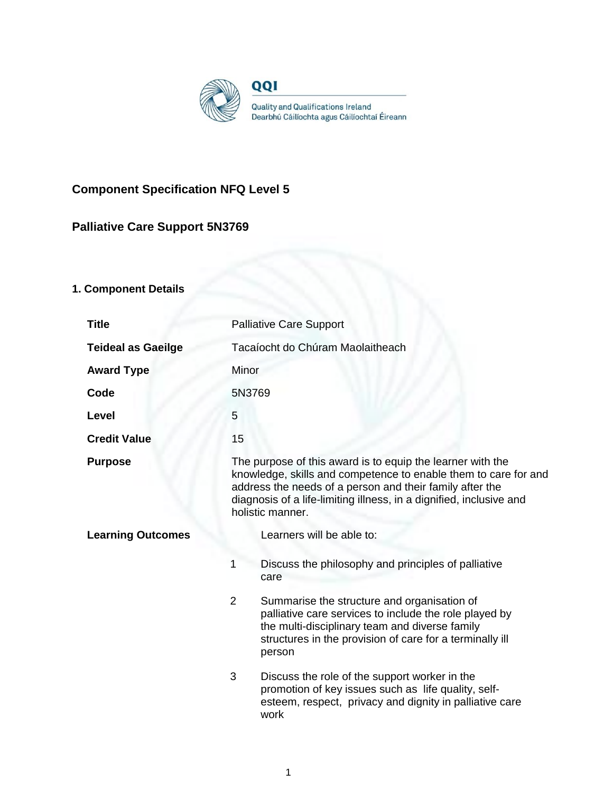

# **Component Specification NFQ Level 5**

# **Palliative Care Support 5N3769**

# **1. Component Details**

| <b>Title</b>              | <b>Palliative Care Support</b>                                                                                                                                                                                                                                                       |  |
|---------------------------|--------------------------------------------------------------------------------------------------------------------------------------------------------------------------------------------------------------------------------------------------------------------------------------|--|
| <b>Teideal as Gaeilge</b> | Tacaíocht do Chúram Maolaitheach                                                                                                                                                                                                                                                     |  |
| <b>Award Type</b>         | Minor                                                                                                                                                                                                                                                                                |  |
| Code                      | 5N3769                                                                                                                                                                                                                                                                               |  |
| Level                     | 5                                                                                                                                                                                                                                                                                    |  |
| <b>Credit Value</b>       | 15                                                                                                                                                                                                                                                                                   |  |
| <b>Purpose</b>            | The purpose of this award is to equip the learner with the<br>knowledge, skills and competence to enable them to care for and<br>address the needs of a person and their family after the<br>diagnosis of a life-limiting illness, in a dignified, inclusive and<br>holistic manner. |  |
| <b>Learning Outcomes</b>  | Learners will be able to:                                                                                                                                                                                                                                                            |  |
|                           | Discuss the philosophy and principles of palliative<br>1<br>care                                                                                                                                                                                                                     |  |
|                           | $\overline{2}$<br>Summarise the structure and organisation of<br>palliative care services to include the role played by<br>the multi-disciplinary team and diverse family<br>structures in the provision of care for a terminally ill<br>person                                      |  |
|                           | 3<br>Discuss the role of the support worker in the<br>promotion of key issues such as life quality, self-<br>esteem, respect, privacy and dignity in palliative care<br>work                                                                                                         |  |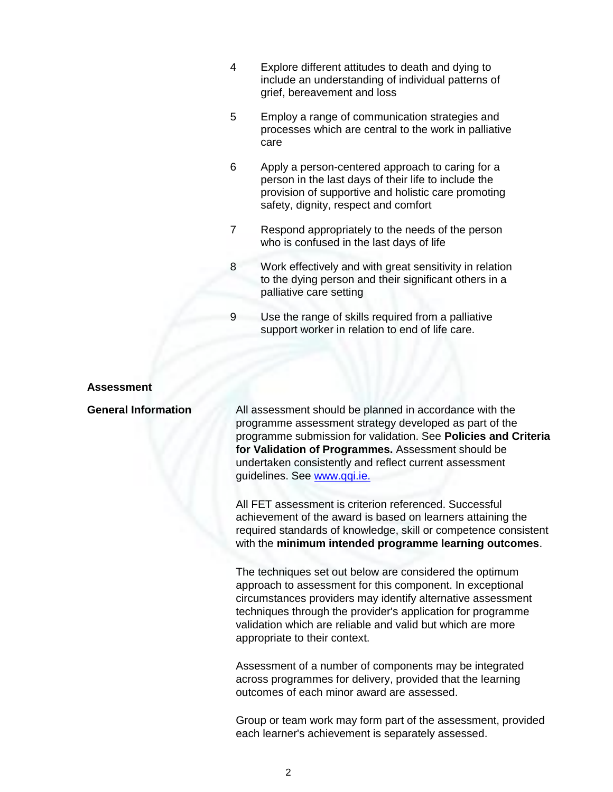- 4 Explore different attitudes to death and dying to include an understanding of individual patterns of grief, bereavement and loss
- 5 Employ a range of communication strategies and processes which are central to the work in palliative care
- 6 Apply a person-centered approach to caring for a person in the last days of their life to include the provision of supportive and holistic care promoting safety, dignity, respect and comfort
- 7 Respond appropriately to the needs of the person who is confused in the last days of life
- 8 Work effectively and with great sensitivity in relation to the dying person and their significant others in a palliative care setting
- 9 Use the range of skills required from a palliative support worker in relation to end of life care.

## **Assessment**

**General Information** All assessment should be planned in accordance with the programme assessment strategy developed as part of the programme submission for validation. See **Policies and Criteria for Validation of Programmes.** Assessment should be undertaken consistently and reflect current assessment guidelines. See [www.qqi.ie.](http://www.qqi.ie/) 

> All FET assessment is criterion referenced. Successful achievement of the award is based on learners attaining the required standards of knowledge, skill or competence consistent with the **minimum intended programme learning outcomes**.

The techniques set out below are considered the optimum approach to assessment for this component. In exceptional circumstances providers may identify alternative assessment techniques through the provider's application for programme validation which are reliable and valid but which are more appropriate to their context.

Assessment of a number of components may be integrated across programmes for delivery, provided that the learning outcomes of each minor award are assessed.

Group or team work may form part of the assessment, provided each learner's achievement is separately assessed.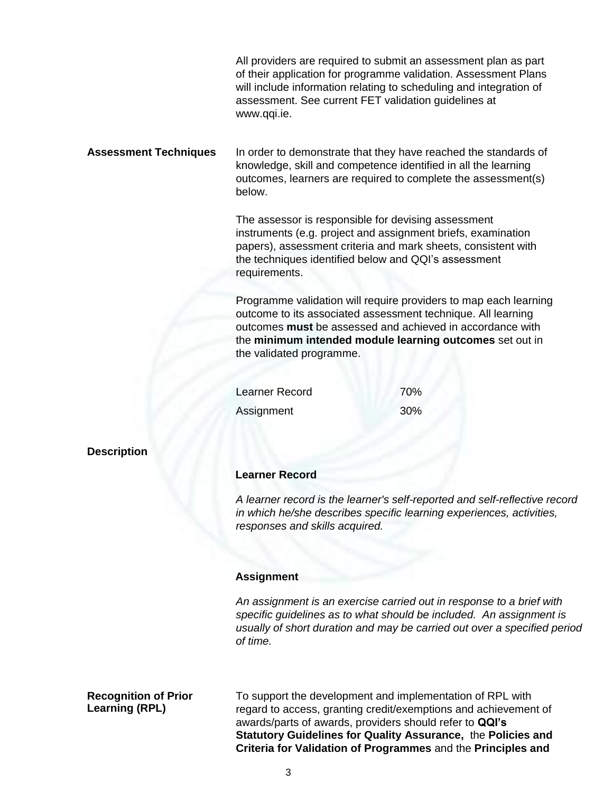|                              | www.qqi.ie.                                                                                                                                                                                                                                                   | All providers are required to submit an assessment plan as part<br>of their application for programme validation. Assessment Plans<br>will include information relating to scheduling and integration of<br>assessment. See current FET validation guidelines at |  |
|------------------------------|---------------------------------------------------------------------------------------------------------------------------------------------------------------------------------------------------------------------------------------------------------------|------------------------------------------------------------------------------------------------------------------------------------------------------------------------------------------------------------------------------------------------------------------|--|
| <b>Assessment Techniques</b> | below.                                                                                                                                                                                                                                                        | In order to demonstrate that they have reached the standards of<br>knowledge, skill and competence identified in all the learning<br>outcomes, learners are required to complete the assessment(s)                                                               |  |
|                              | The assessor is responsible for devising assessment<br>instruments (e.g. project and assignment briefs, examination<br>papers), assessment criteria and mark sheets, consistent with<br>the techniques identified below and QQI's assessment<br>requirements. |                                                                                                                                                                                                                                                                  |  |
|                              | the validated programme.                                                                                                                                                                                                                                      | Programme validation will require providers to map each learning<br>outcome to its associated assessment technique. All learning<br>outcomes must be assessed and achieved in accordance with<br>the minimum intended module learning outcomes set out in        |  |
|                              | <b>Learner Record</b>                                                                                                                                                                                                                                         | 70%                                                                                                                                                                                                                                                              |  |
|                              | Assignment                                                                                                                                                                                                                                                    | 30%                                                                                                                                                                                                                                                              |  |
| <b>Description</b>           |                                                                                                                                                                                                                                                               |                                                                                                                                                                                                                                                                  |  |
|                              | <b>Learner Record</b>                                                                                                                                                                                                                                         |                                                                                                                                                                                                                                                                  |  |
|                              | A learner record is the learner's self-reported and self-reflective record<br>in which he/she describes specific learning experiences, activities,<br>responses and skills acquired.                                                                          |                                                                                                                                                                                                                                                                  |  |
|                              |                                                                                                                                                                                                                                                               |                                                                                                                                                                                                                                                                  |  |
|                              | <b>Assignment</b>                                                                                                                                                                                                                                             |                                                                                                                                                                                                                                                                  |  |
|                              | An assignment is an exercise carried out in response to a brief with<br>specific guidelines as to what should be included. An assignment is<br>usually of short duration and may be carried out over a specified period<br>of time.                           |                                                                                                                                                                                                                                                                  |  |

**Recognition of Prior Learning (RPL)**

To support the development and implementation of RPL with regard to access, granting credit/exemptions and achievement of awards/parts of awards, providers should refer to **QQI's Statutory Guidelines for Quality Assurance,** the **Policies and Criteria for Validation of Programmes** and the **Principles and**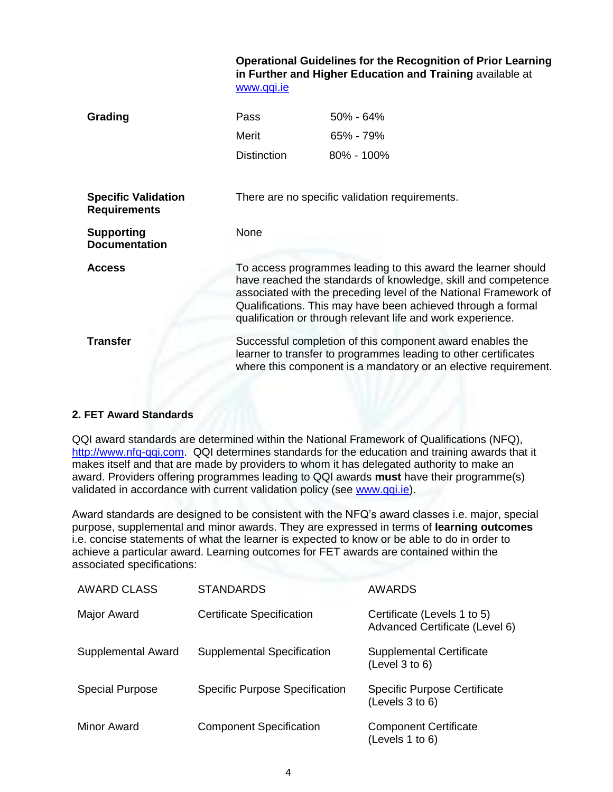**Operational Guidelines for the Recognition of Prior Learning in Further and Higher Education and Training** available at [www.qqi.ie](http://www.qqi.ie/)

| Grading                                           | Pass<br>Merit<br><b>Distinction</b>                                                                                                                                                                                                                                                                                               | $50\% - 64\%$<br>$65\% - 79\%$<br>$80\% - 100\%$ |  |
|---------------------------------------------------|-----------------------------------------------------------------------------------------------------------------------------------------------------------------------------------------------------------------------------------------------------------------------------------------------------------------------------------|--------------------------------------------------|--|
| <b>Specific Validation</b><br><b>Requirements</b> | There are no specific validation requirements.                                                                                                                                                                                                                                                                                    |                                                  |  |
| <b>Supporting</b><br><b>Documentation</b>         | None                                                                                                                                                                                                                                                                                                                              |                                                  |  |
| <b>Access</b>                                     | To access programmes leading to this award the learner should<br>have reached the standards of knowledge, skill and competence<br>associated with the preceding level of the National Framework of<br>Qualifications. This may have been achieved through a formal<br>qualification or through relevant life and work experience. |                                                  |  |
| <b>Transfer</b>                                   | Successful completion of this component award enables the<br>learner to transfer to programmes leading to other certificates<br>where this component is a mandatory or an elective requirement.                                                                                                                                   |                                                  |  |

# **2. FET Award Standards**

QQI award standards are determined within the National Framework of Qualifications (NFQ), [http://www.nfq-qqi.com.](http://www.nfq-qqi.com/) QQI determines standards for the education and training awards that it makes itself and that are made by providers to whom it has delegated authority to make an award. Providers offering programmes leading to QQI awards **must** have their programme(s) validated in accordance with current validation policy (see [www.qqi.ie\)](http://www.qqi.ie/).

Award standards are designed to be consistent with the NFQ's award classes i.e. major, special purpose, supplemental and minor awards. They are expressed in terms of **learning outcomes**  i.e. concise statements of what the learner is expected to know or be able to do in order to achieve a particular award. Learning outcomes for FET awards are contained within the associated specifications:

| <b>AWARD CLASS</b>     | <b>STANDARDS</b>                      | <b>AWARDS</b>                                                 |
|------------------------|---------------------------------------|---------------------------------------------------------------|
| <b>Major Award</b>     | <b>Certificate Specification</b>      | Certificate (Levels 1 to 5)<br>Advanced Certificate (Level 6) |
| Supplemental Award     | Supplemental Specification            | <b>Supplemental Certificate</b><br>(Level 3 to 6)             |
| <b>Special Purpose</b> | <b>Specific Purpose Specification</b> | <b>Specific Purpose Certificate</b><br>(Levels 3 to 6)        |
| <b>Minor Award</b>     | <b>Component Specification</b>        | <b>Component Certificate</b><br>(Levels 1 to 6)               |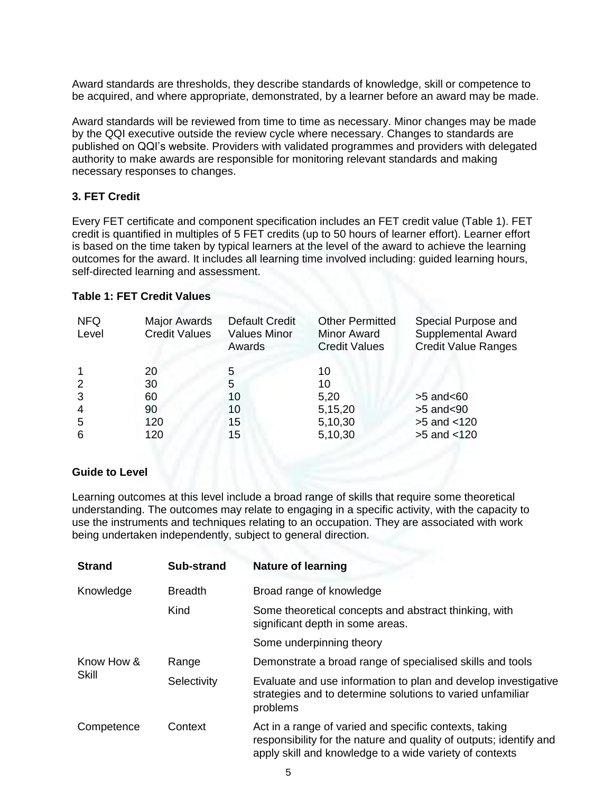Award standards are thresholds, they describe standards of knowledge, skill or competence to be acquired, and where appropriate, demonstrated, by a learner before an award may be made.

Award standards will be reviewed from time to time as necessary. Minor changes may be made by the QQI executive outside the review cycle where necessary. Changes to standards are published on QQI's website. Providers with validated programmes and providers with delegated authority to make awards are responsible for monitoring relevant standards and making necessary responses to changes.

## **3. FET Credit**

Every FET certificate and component specification includes an FET credit value (Table 1). FET credit is quantified in multiples of 5 FET credits (up to 50 hours of learner effort). Learner effort is based on the time taken by typical learners at the level of the award to achieve the learning outcomes for the award. It includes all learning time involved including: guided learning hours, self-directed learning and assessment.

## **Table 1: FET Credit Values**

| <b>NFQ</b><br>Level | <b>Major Awards</b><br><b>Credit Values</b> | <b>Default Credit</b><br><b>Values Minor</b><br>Awards | <b>Other Permitted</b><br><b>Minor Award</b><br><b>Credit Values</b> | Special Purpose and<br><b>Supplemental Award</b><br><b>Credit Value Ranges</b> |
|---------------------|---------------------------------------------|--------------------------------------------------------|----------------------------------------------------------------------|--------------------------------------------------------------------------------|
|                     | 20                                          | 5                                                      | 10                                                                   |                                                                                |
| $\overline{2}$      | 30                                          | 5                                                      | 10                                                                   |                                                                                |
| 3                   | 60                                          | 10                                                     | 5,20                                                                 | $>5$ and $< 60$                                                                |
| $\overline{4}$      | 90                                          | 10                                                     | 5,15,20                                                              | $>5$ and $<$ 90                                                                |
| 5                   | 120                                         | 15                                                     | 5,10,30                                                              | $>5$ and $<120$                                                                |
| 6                   | 120                                         | 15                                                     | 5,10,30                                                              | $>5$ and $<120$                                                                |

## **Guide to Level**

Learning outcomes at this level include a broad range of skills that require some theoretical understanding. The outcomes may relate to engaging in a specific activity, with the capacity to use the instruments and techniques relating to an occupation. They are associated with work being undertaken independently, subject to general direction.

| <b>Strand</b>              | <b>Sub-strand</b> | <b>Nature of learning</b>                                                                                                                                                               |
|----------------------------|-------------------|-----------------------------------------------------------------------------------------------------------------------------------------------------------------------------------------|
| Knowledge                  | <b>Breadth</b>    | Broad range of knowledge                                                                                                                                                                |
|                            | Kind              | Some theoretical concepts and abstract thinking, with<br>significant depth in some areas.                                                                                               |
|                            |                   | Some underpinning theory                                                                                                                                                                |
| Know How &<br><b>Skill</b> | Range             | Demonstrate a broad range of specialised skills and tools                                                                                                                               |
|                            | Selectivity       | Evaluate and use information to plan and develop investigative<br>strategies and to determine solutions to varied unfamiliar<br>problems                                                |
| Competence                 | Context           | Act in a range of varied and specific contexts, taking<br>responsibility for the nature and quality of outputs; identify and<br>apply skill and knowledge to a wide variety of contexts |